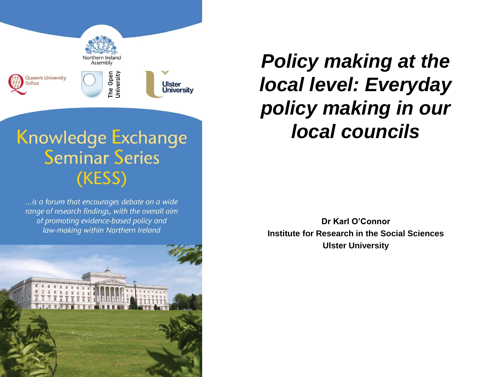

... is a forum that encourages debate on a wide range of research findings, with the overall aim of promoting evidence-based policy and law-making within Northern Ireland



*Policy making at the local level: Everyday policy making in our local councils*

**Dr Karl O'Connor Institute for Research in the Social Sciences Ulster University**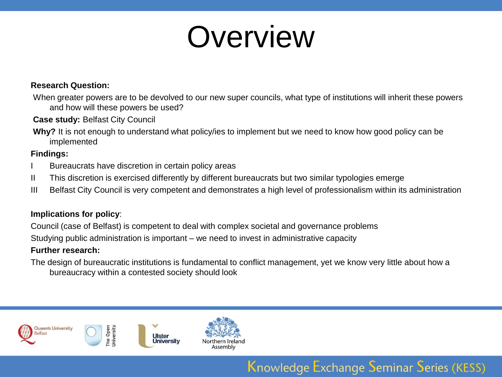## Overview

#### **Research Question:**

When greater powers are to be devolved to our new super councils, what type of institutions will inherit these powers and how will these powers be used?

#### **Case study:** Belfast City Council

**Why?** It is not enough to understand what policy/ies to implement but we need to know how good policy can be implemented

#### **Findings:**

- Bureaucrats have discretion in certain policy areas
- II This discretion is exercised differently by different bureaucrats but two similar typologies emerge
- III Belfast City Council is very competent and demonstrates a high level of professionalism within its administration

#### **Implications for policy**:

Council (case of Belfast) is competent to deal with complex societal and governance problems

Studying public administration is important – we need to invest in administrative capacity

#### **Further research:**

The design of bureaucratic institutions is fundamental to conflict management, yet we know very little about how a bureaucracy within a contested society should look

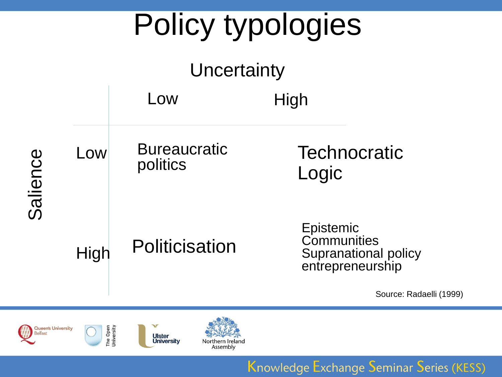





**Ulster**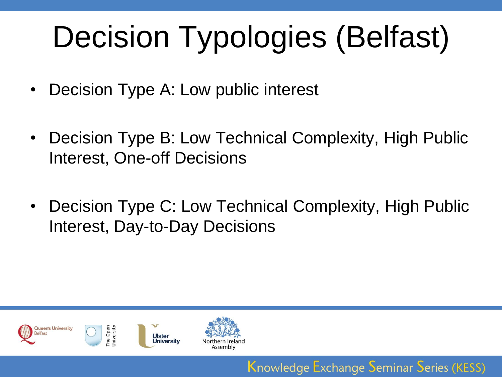# Decision Typologies (Belfast)

- Decision Type A: Low public interest
- Decision Type B: Low Technical Complexity, High Public Interest, One-off Decisions
- Decision Type C: Low Technical Complexity, High Public Interest, Day-to-Day Decisions

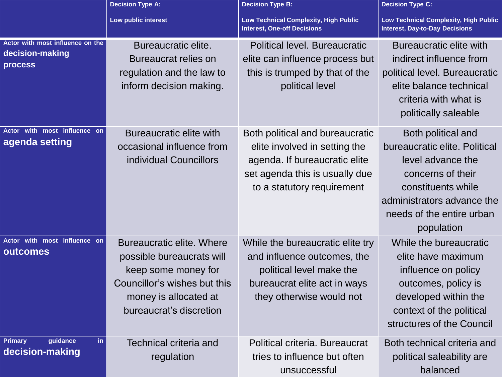|                                                                       | <b>Decision Type A:</b>                                                                                                                                                  | <b>Decision Type B:</b>                                                                                                                                           | <b>Decision Type C:</b>                                                                                                                                                                      |
|-----------------------------------------------------------------------|--------------------------------------------------------------------------------------------------------------------------------------------------------------------------|-------------------------------------------------------------------------------------------------------------------------------------------------------------------|----------------------------------------------------------------------------------------------------------------------------------------------------------------------------------------------|
|                                                                       | Low public interest                                                                                                                                                      | <b>Low Technical Complexity, High Public</b><br><b>Interest, One-off Decisions</b>                                                                                | <b>Low Technical Complexity, High Public</b><br><b>Interest, Day-to-Day Decisions</b>                                                                                                        |
| Actor with most influence on the<br>decision-making<br><b>process</b> | Bureaucratic elite.<br>Bureaucrat relies on<br>regulation and the law to<br>inform decision making.                                                                      | Political level. Bureaucratic<br>elite can influence process but<br>this is trumped by that of the<br>political level                                             | Bureaucratic elite with<br>indirect influence from<br>political level. Bureaucratic<br>elite balance technical<br>criteria with what is<br>politically saleable                              |
| Actor with most influence on<br>agenda setting                        | Bureaucratic elite with<br>occasional influence from<br>individual Councillors                                                                                           | Both political and bureaucratic<br>elite involved in setting the<br>agenda. If bureaucratic elite<br>set agenda this is usually due<br>to a statutory requirement | Both political and<br>bureaucratic elite. Political<br>level advance the<br>concerns of their<br>constituents while<br>administrators advance the<br>needs of the entire urban<br>population |
| Actor with most influence on<br>outcomes                              | <b>Bureaucratic elite. Where</b><br>possible bureaucrats will<br>keep some money for<br>Councillor's wishes but this<br>money is allocated at<br>bureaucrat's discretion | While the bureaucratic elite try<br>and influence outcomes, the<br>political level make the<br>bureaucrat elite act in ways<br>they otherwise would not           | While the bureaucratic<br>elite have maximum<br>influence on policy<br>outcomes, policy is<br>developed within the<br>context of the political<br>structures of the Council                  |
| guidance<br><b>Primary</b><br>in.<br>decision-making                  | Technical criteria and<br>regulation                                                                                                                                     | Political criteria. Bureaucrat<br>tries to influence but often<br>unsuccessful                                                                                    | Both technical criteria and<br>political saleability are<br>balanced                                                                                                                         |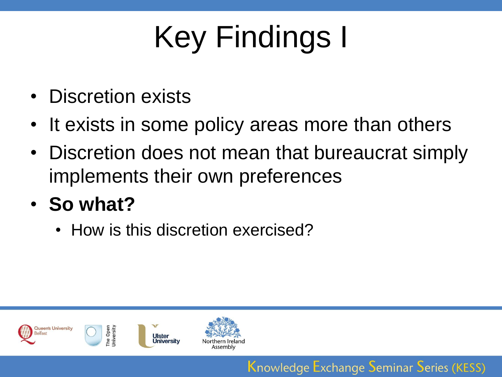# Key Findings I

- Discretion exists
- It exists in some policy areas more than others
- Discretion does not mean that bureaucrat simply implements their own preferences

- **So what?**
	- How is this discretion exercised?

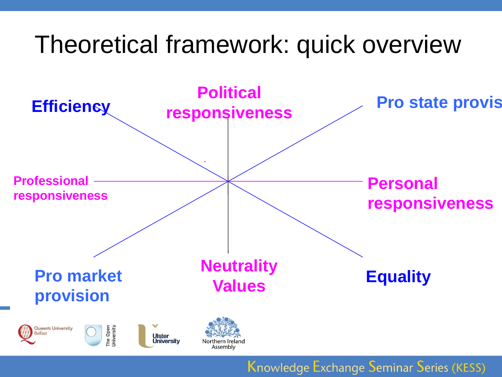### Theoretical framework: quick overview

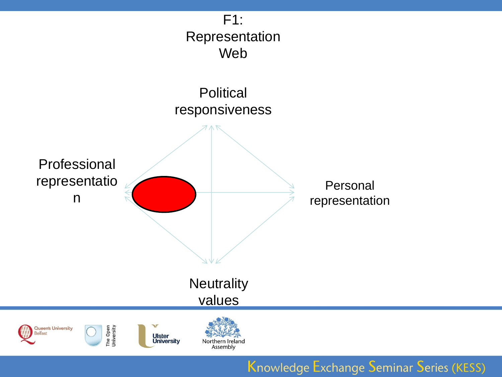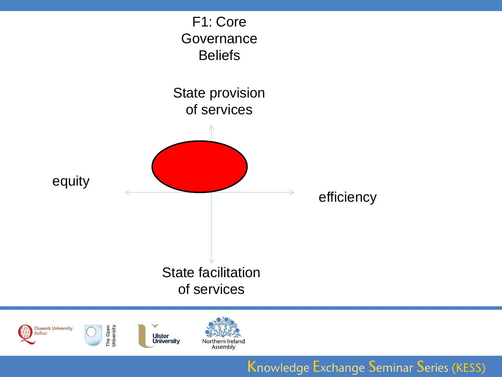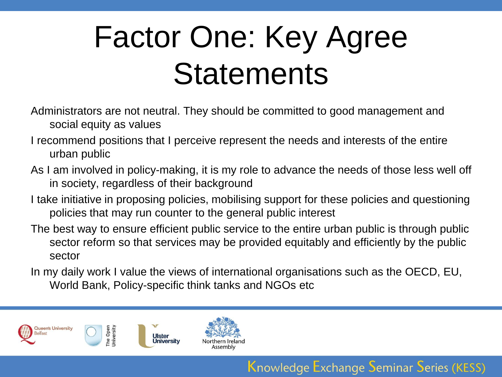# Factor One: Key Agree **Statements**

- Administrators are not neutral. They should be committed to good management and social equity as values
- I recommend positions that I perceive represent the needs and interests of the entire urban public
- As I am involved in policy-making, it is my role to advance the needs of those less well off in society, regardless of their background
- I take initiative in proposing policies, mobilising support for these policies and questioning policies that may run counter to the general public interest
- The best way to ensure efficient public service to the entire urban public is through public sector reform so that services may be provided equitably and efficiently by the public sector
- In my daily work I value the views of international organisations such as the OECD, EU, World Bank, Policy-specific think tanks and NGOs etc

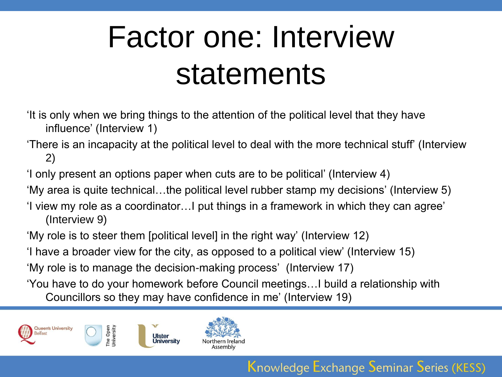## Factor one: Interview statements

- 'It is only when we bring things to the attention of the political level that they have influence' (Interview 1)
- 'There is an incapacity at the political level to deal with the more technical stuff' (Interview 2)
- 'I only present an options paper when cuts are to be political' (Interview 4)
- 'My area is quite technical…the political level rubber stamp my decisions' (Interview 5)
- 'I view my role as a coordinator…I put things in a framework in which they can agree' (Interview 9)
- 'My role is to steer them [political level] in the right way' (Interview 12)
- 'I have a broader view for the city, as opposed to a political view' (Interview 15)
- 'My role is to manage the decision-making process' (Interview 17)
- 'You have to do your homework before Council meetings…I build a relationship with
	- Councillors so they may have confidence in me' (Interview 19)



The Open<br>Jniversity

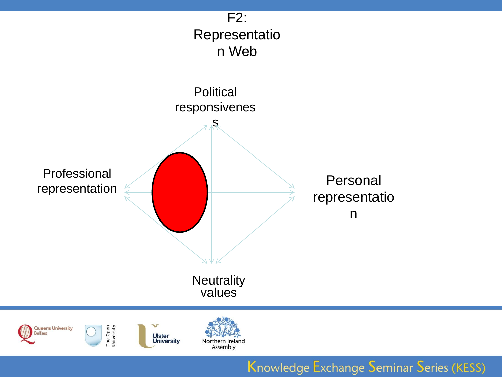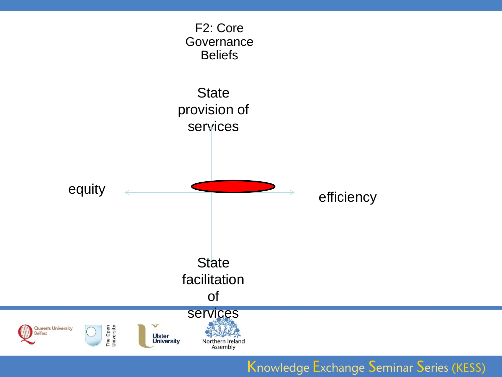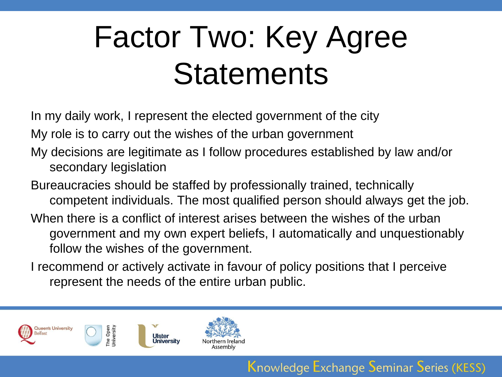# Factor Two: Key Agree **Statements**

In my daily work, I represent the elected government of the city

My role is to carry out the wishes of the urban government

- My decisions are legitimate as I follow procedures established by law and/or secondary legislation
- Bureaucracies should be staffed by professionally trained, technically competent individuals. The most qualified person should always get the job. When there is a conflict of interest arises between the wishes of the urban government and my own expert beliefs, I automatically and unquestionably
	- follow the wishes of the government.
- I recommend or actively activate in favour of policy positions that I perceive represent the needs of the entire urban public.

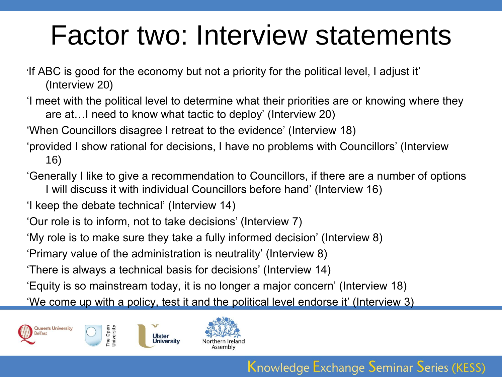### Factor two: Interview statements

'If ABC is good for the economy but not a priority for the political level, I adjust it' (Interview 20)

'I meet with the political level to determine what their priorities are or knowing where they are at…I need to know what tactic to deploy' (Interview 20)

'When Councillors disagree I retreat to the evidence' (Interview 18)

- 'provided I show rational for decisions, I have no problems with Councillors' (Interview 16)
- 'Generally I like to give a recommendation to Councillors, if there are a number of options I will discuss it with individual Councillors before hand' (Interview 16)

'I keep the debate technical' (Interview 14)

'Our role is to inform, not to take decisions' (Interview 7)

**Ulster** Universitv

'My role is to make sure they take a fully informed decision' (Interview 8)

'Primary value of the administration is neutrality' (Interview 8)

'There is always a technical basis for decisions' (Interview 14)

'Equity is so mainstream today, it is no longer a major concern' (Interview 18)

'We come up with a policy, test it and the political level endorse it' (Interview 3)



The Open<br>Jniversity

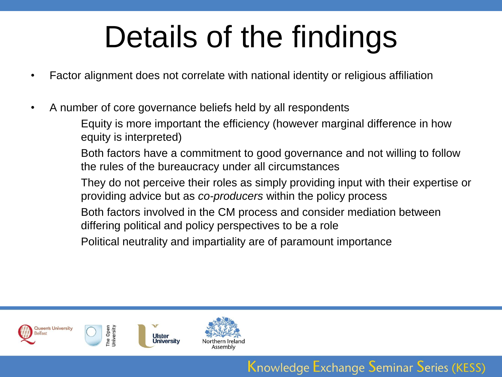# Details of the findings

- Factor alignment does not correlate with national identity or religious affiliation
- A number of core governance beliefs held by all respondents

Equity is more important the efficiency (however marginal difference in how equity is interpreted)

Both factors have a commitment to good governance and not willing to follow the rules of the bureaucracy under all circumstances

They do not perceive their roles as simply providing input with their expertise or providing advice but as *co-producers* within the policy process

Knowledge Exchange Seminar Series (KESS)

Both factors involved in the CM process and consider mediation between differing political and policy perspectives to be a role

Political neutrality and impartiality are of paramount importance



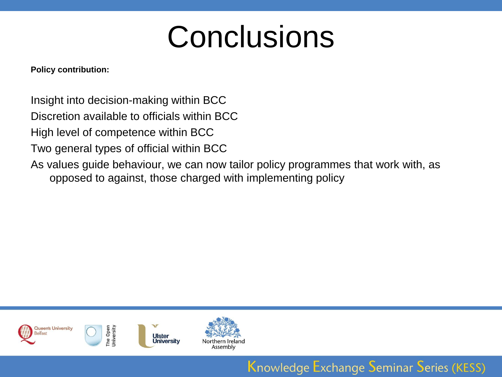## **Conclusions**

**Policy contribution:**

Insight into decision-making within BCC

Discretion available to officials within BCC

High level of competence within BCC

Two general types of official within BCC

As values guide behaviour, we can now tailor policy programmes that work with, as opposed to against, those charged with implementing policy